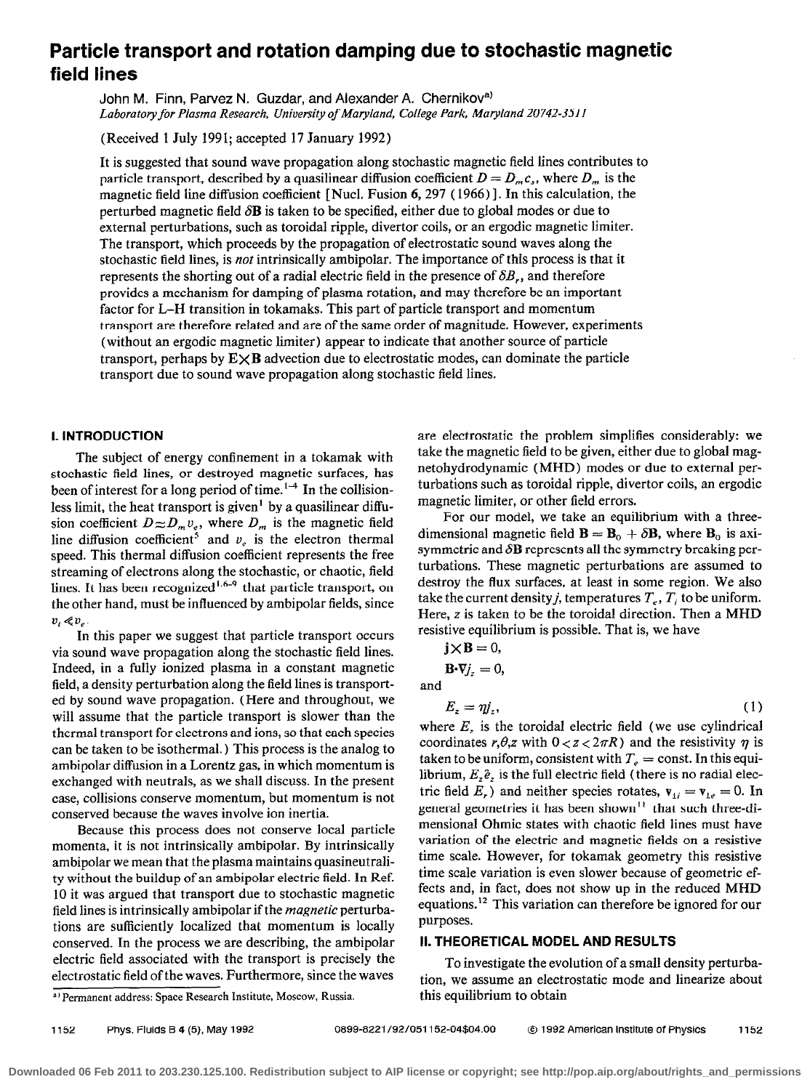## Particle transport and rotation damping due to stochastic magnetic field lines

John M. Finn, Parvez N. Guzdar, and Alexander A. Chernikov<sup>a)</sup> Laboratory for Plasma Research, University of Maryland, College Park, Maryland 20142-351 I

(Received 1 July 1991; accepted 17 January 1992)

It is suggested that sound wave propagation along stochastic magnetic field lines contributes to particle transport, described by a quasilinear diffusion coefficient  $D = D_m c_s$ , where  $D_m$  is the magnetic field line diffusion coefficient [ NucI, Fusion 6,297 ( 1966) I. In this calculation, the perturbed magnetic field  $\delta$ **B** is taken to be specified, either due to global modes or due to external perturbations, such as toroidal ripple, divertor coils, or an ergodic magnetic limiter. The transport, which proceeds by the propagation of electrostatic sound waves along the stochastic field lines, is not intrinsically ambipolar. The importance of this process is that it represents the shorting out of a radial electric field in the presence of  $\delta B_r$ , and therefore provides a mechanism for damping of plasma rotation, and may therefore be an important factor for L-H transition in tokamaks. This part of particle transport and momentum transport are therefore related and are of the same order of magnitude. However, experiments (without an ergodic magnetic limiter) appear to indicate that another source of particle transport, perhaps by  $E \times B$  advection due to electrostatic modes, can dominate the particle transport due to sound wave propagation along stochastic field lines,

## 1. INTRODUCTION

The subject of energy confinement in a tokamak with stochastic field lines, or destroyed magnetic surfaces, has been of interest for a long period of time.<sup>1-4</sup> In the collisionless limit, the heat transport is given' by a quasilinear diffusion coefficient  $D \approx D_m v_e$ , where  $D_m$  is the magnetic field line diffusion coefficient<sup>5</sup> and  $v_e$  is the electron thermal speed. This thermal diffusion coefficient represents the free streaming of electrons along the stochastic, or chaotic, field lines. It has been recognized<sup>1.6-9</sup> that particle transport, on the other hand, must be influenced by ambipolar fields, since  $v_i \ll v_a$ 

In this paper we suggest that particle transport occurs via sound wave propagation along the stochastic field lines. Indeed, in a fully ionized plasma in a constant magnetic field, a density perturbation along the field lines is transported by sound wave propagation. (Here and throughout, we will assume that the particle transport is slower than the thermal transport for electrons and ions, so that each species can be taken to be isothermal.) This process is the analog to ambipolar diffusion in a Lorentz gas, in which momentum is exchanged with neutrals, as we shall discuss. In the present case, collisions conserve momentum, but momentum is not conserved because the waves involve ion inertia.

Because this process does not conserve local particle momenta, it is not intrinsically ambipolar. By intrinsically ambipolar we mean that the plasma maintains quasineutrality without the buildup of an ambipolar electric field. In Ref. 10 it was argued that transport due to stochastic magnetic field lines is intrinsically ambipolar if the magnetic perturbations are sufficiently localized that momentum is locally conserved. In the process we are describing, the ambipolar electric field associated with the transport is precisely the electrostatic field of the waves. Furthermore, since the waves

are electrostatic the problem simplifies considerably: we take the magnetic field to be given, either due to global magnetohydrodynamic (MHD) modes or due to external perturbations such as toroidal ripple, divertor coils, an ergodic magnetic limiter, or other field errors.

For our model, we take an equilibrium with a threedimensional magnetic field  $\mathbf{B} = \mathbf{B}_0 + \delta \mathbf{B}$ , where  $\mathbf{B}_0$  is axisymmetric and  $\delta$ **B** represents all the symmetry breaking perturbations. These magnetic perturbations are assumed to destroy the flux surfaces, at least in some region. We also take the current density *j*, temperatures  $T_e$ ,  $T_i$  to be uniform. Here, z is taken to be the toroidal direction. Then a MHD resistive equilibrium is possible. That is, we have

$$
\mathbf{j} \times \mathbf{B} = 0, \n\mathbf{B} \cdot \nabla j_z = 0,
$$

and

$$
E_z = \eta j_z,\tag{1}
$$

where  $E<sub>z</sub>$  is the toroidal electric field (we use cylindrical coordinates r, $\theta$ , z with  $0 < z < 2\pi R$ ) and the resistivity  $\eta$  is taken to be uniform, consistent with  $T_e = \text{const.}$  In this equilibrium,  $E_z \hat{e}_z$  is the full electric field (there is no radial electric field  $E_r$ ) and neither species rotates,  $\mathbf{v}_{1i} = \mathbf{v}_{1e} = 0$ . In general geometries it has been shown<sup>11</sup> that such three-dimensional Ohmic states with chaotic field lines must have variation of the electric and magnetic fields on a resistive time scale. However, for tokamak geometry this resistive time scale variation is even slower because of geometric effects and, in fact, does not show up in the reduced MHD equations.<sup>12</sup> This variation can therefore be ignored for our purposes.

## II. THEORETICAL MODEL AND RESULTS

To investigate the evolution of a small density perturbation, we assume an electrostatic mode and linearize about this equilibrium to obtain

a) Permanent address: Space Research Institute, Moscow, Russia.

1152 Phys. Fluids B 4 (5), May 1992 0899-8221/92/051152-04\$04.00 © 1992 American Institute of Physics 1152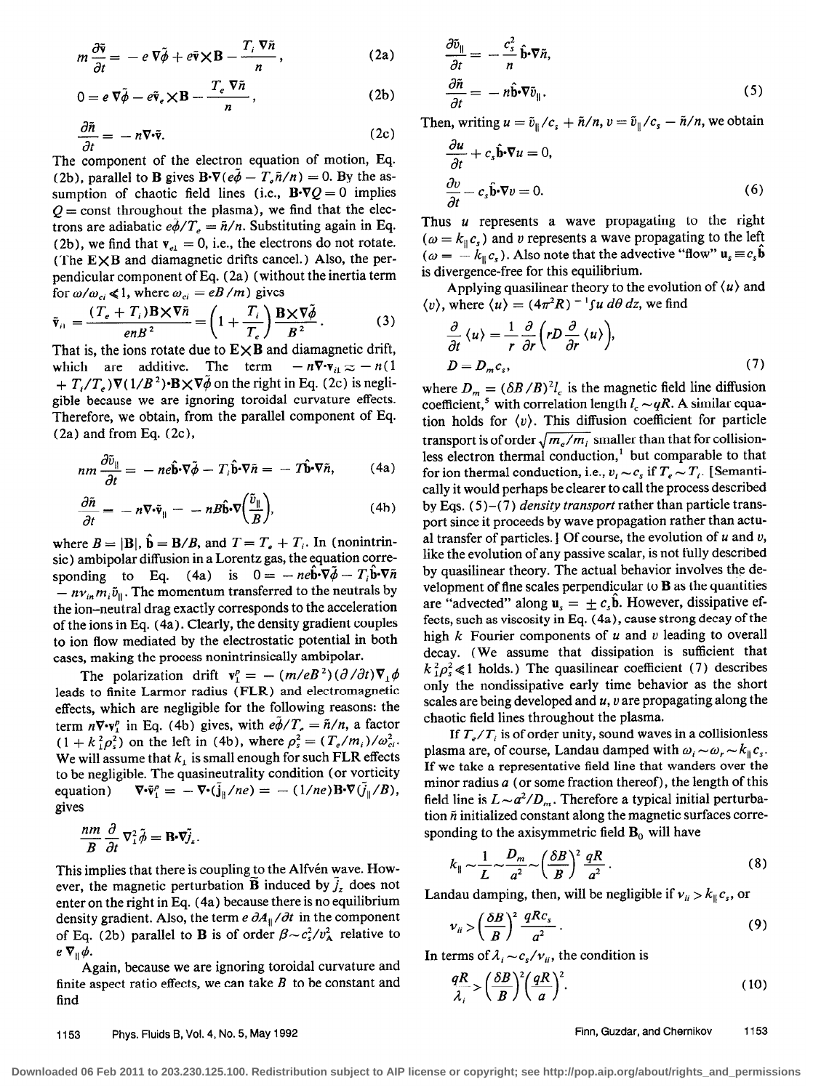$$
m\frac{\partial \tilde{\mathbf{v}}}{\partial t} = -e\,\nabla\tilde{\phi} + e\tilde{\mathbf{v}} \times \mathbf{B} - \frac{T_i\,\nabla\tilde{n}}{n},\qquad(2a)
$$

$$
0 = e \nabla \tilde{\phi} - e \tilde{\mathbf{v}}_e \times \mathbf{B} - \frac{T_e \nabla \tilde{n}}{n}, \qquad (2b)
$$

$$
\frac{\partial \tilde{n}}{\partial t} = -n \nabla \cdot \tilde{\mathbf{v}}.\tag{2c}
$$

The component of the electron equation of motion, Eq. (2b), parallel to **B** gives  $\mathbf{B}\cdot\nabla(e\tilde{\phi} - T_e\tilde{n}/n) = 0$ . By the assumption of chaotic field lines (i.e.,  $\mathbf{B}\cdot\nabla Q = 0$  implies  $Q =$  const throughout the plasma), we find that the electrons are adiabatic  $e\phi/T_e = \tilde{n}/n$ . Substituting again in Eq. (2b), we find that  $v_{el} = 0$ , i.e., the electrons do not rotate. (The  $E \times B$  and diamagnetic drifts cancel.) Also, the perpendicular component of Eq. (2a) (without the inertia term for  $\omega/\omega_{ci} \ll 1$ , where  $\omega_{ci} = eB/m$  ) gives

$$
\tilde{\mathbf{v}}_{i1} = \frac{(T_e + T_i)\mathbf{B} \times \nabla \tilde{n}}{enB^2} = \left(1 + \frac{T_i}{T_e}\right)\frac{\mathbf{B} \times \nabla \tilde{\phi}}{B^2}.
$$
 (3)

That is, the ions rotate due to  $\mathbf{E} \times \mathbf{B}$  and diamagnetic drift,<br>which are additive. The term  $-n\nabla \cdot \mathbf{v}_{ii} \approx -n(1$ which are additive. The term  $+ T_{i}/T_{i}$ ) $\nabla (1/B^{2}) \cdot B \times \nabla \tilde{\phi}$  on the right in Eq. (2c) is negligible because we are ignoring toroidal curvature effects. Therefore, we obtain, from the parallel component of Eq. (2a) and from Eq. (2c),

$$
nm\frac{\partial \tilde{v}_{\parallel}}{\partial t} = -ne\hat{\mathbf{b}}\cdot\nabla\tilde{\phi} - T_i\hat{\mathbf{b}}\cdot\nabla\tilde{n} = -T\hat{\mathbf{b}}\cdot\nabla\tilde{n},\qquad(4a)
$$

$$
\frac{\partial \tilde{n}}{\partial t} = -n \nabla \cdot \tilde{\mathbf{v}}_{\parallel} = -n B \hat{\mathbf{b}} \cdot \nabla \left( \frac{\tilde{v}_{\parallel}}{B} \right),\tag{4b}
$$

where  $B = |\mathbf{B}|$ ,  $\hat{\mathbf{b}} = \mathbf{B}/B$ , and  $T = T_e + T_i$ . In (nonintrinsic) ambipolar diffusion in a Lorentz gas, the equation corresponding to Eq. (4a) is  $0 = -ne\mathbf{b}\cdot\nabla\phi - T_i\mathbf{b}\cdot\nabla\tilde{n}$  $-nv_{in}m_{i}\tilde{v}_{n}$ . The momentum transferred to the neutrals by the ion-neutral drag exactly corresponds to the acceleration of the ions in Eq. (4a). Clearly, the density gradient couples to ion flow mediated by the electrostatic potential in both cases, making the process nonintrinsically ambipolar.

The polarization drift  $\mathbf{v}_1^p = - (m/eB^2)(\partial/\partial t)\nabla_1\phi$ leads to finite Larmor radius (FLR) and electromagnetic effects, which are negligible for the following reasons: the term  $n \nabla \cdot \mathbf{v}_1^p$  in Eq. (4b) gives, with  $e\phi/T_e = \tilde{n}/n$ , a factor  $(1 + k_1^2 \rho_s^2)$  on the left in (4b), where  $\rho_s^2 = (T_e/m_i)/\omega_{ci}^2$ . We will assume that  $k_1$  is small enough for such FLR effects to be negligible. The quasineutrality condition (or vorticity equation)  $\nabla \cdot \tilde{\mathbf{v}}_1^p = -\nabla \cdot (\tilde{\mathbf{j}}_{\parallel}/ne) = -(1/ne)\mathbf{B} \cdot \nabla (\tilde{\mathbf{j}}_{\parallel}/B),$ gives

$$
\frac{nm}{B}\frac{\partial}{\partial t}\nabla_1^2\tilde{\phi} = \mathbf{B}\cdot\tilde{\nabla y_i}.
$$

This implies that there is coupling to the Alfvén wave. However, the magnetic perturbation **B** induced by  $j_z$  does not enter on the right in Eq. (4a) because there is no equilibrium density gradient. Also, the term  $e \partial A_{\parallel}/\partial t$  in the component of Eq. (2b) parallel to **B** is of order  $\beta \sim c_s^2/v_A^2$  relative to  $e \nabla_{\parallel} \phi$ .

Again, because we are ignoring toroidal curvature and finite aspect ratio effects, we can take  $B$  to be constant and find

$$
\frac{\partial \tilde{v}_{\parallel}}{\partial t} = -\frac{c_s^2}{n} \hat{\mathbf{b}} \cdot \nabla \tilde{n},
$$
  

$$
\frac{\partial \tilde{n}}{\partial t} = -n \hat{\mathbf{b}} \cdot \nabla \tilde{v}_{\parallel}.
$$
 (5)

Then, writing  $u = \tilde{v}_{\parallel}/c_s + \tilde{n}/n$ ,  $v = \tilde{v}_{\parallel}/c_s - \tilde{n}/n$ , we obtain

$$
\frac{\partial u}{\partial t} + c_s \hat{\mathbf{b}} \cdot \nabla u = 0,
$$
  

$$
\frac{\partial v}{\partial t} - c_s \hat{\mathbf{b}} \cdot \nabla v = 0.
$$
 (6)

Thus *u* represents a wave propagating to the right  $(\omega = k_{\parallel} c_s)$  and v represents a wave propagating to the left  $(\omega = -k_{\parallel} c_s)$ . Also note that the advective "flow"  $\mathbf{u}_s \equiv c_s \mathbf{b}$ is divergence-free for this equilibrium.

Applying quasilinear theory to the evolution of  $\langle u \rangle$  and  $\langle v \rangle$ , where  $\langle u \rangle = (4\pi^2 R)^{-1} \int u \, d\theta \, dz$ , we find

$$
\frac{\partial}{\partial t} \langle u \rangle = \frac{1}{r} \frac{\partial}{\partial r} \left( r D \frac{\partial}{\partial r} \langle u \rangle \right),
$$
  
 
$$
D = D_m c_s,
$$
 (7)

where  $D_m = (\delta B / B)^2 l_c$  is the magnetic field line diffusion coefficient,<sup>5</sup> with correlation length  $l_c \sim qR$ . A similar equation holds for  $\langle v \rangle$ . This diffusion coefficient for particle transport is of order  $\sqrt{m_e/m_i}$  smaller than that for collisionless electron thermal conduction,' but comparable to that for ion thermal conduction, i.e.,  $v_i \sim c_s$  if  $T_e \sim T_i$ . [Semantically it would perhaps be clearer to call the process described by Eqs.  $(5)-(7)$  density transport rather than particle transport since it proceeds by wave propagation rather than actual transfer of particles.] Of course, the evolution of  $u$  and  $v$ , like the evolution of any passive scalar, is not fully described by quasilinear theory. The actual behavior involves the development of fine scales perpendicular to  $B$  as the quantities are "advected" along  $\mathbf{u}_s = \pm c_s \mathbf{b}$ . However, dissipative effects, such as viscosity in Eq. (4a), cause strong decay of the high  $k$  Fourier components of  $u$  and  $v$  leading to overall decay. (We assume that dissipation is sufficient that  $k_{\perp}^2 \rho_s^2 \ll 1$  holds.) The quasilinear coefficient (7) describes only the nondissipative early time behavior as the short scales are being developed and  $u$ ,  $v$  are propagating along the chaotic field lines throughout the plasma.

If  $T_{e}/T_{i}$  is of order unity, sound waves in a collisionless plasma are, of course, Landau damped with  $\omega_i \sim \omega_r \sim k_{\parallel} c_s$ . If we take a representative field line that wanders over the minor radius  $a$  (or some fraction thereof), the length of this field line is  $L \sim a^2/D_m$ . Therefore a typical initial perturbation  $\tilde{n}$  initialized constant along the magnetic surfaces corresponding to the axisymmetric field  $B_0$  will have

$$
k_{\parallel} \sim \frac{1}{L} \sim \frac{D_m}{a^2} \sim \left(\frac{\delta B}{B}\right)^2 \frac{qR}{a^2} \,. \tag{8}
$$

Landau damping, then, will be negligible if  $v_{ii} > k_{\parallel} c_s$ , or

$$
\nu_{ii} > \left(\frac{\delta B}{B}\right)^2 \frac{qRc_s}{a^2} \,. \tag{9}
$$

In terms of  $\lambda_i \sim c_s/v_{ii}$ , the condition is

$$
\frac{qR}{\lambda_i} > \left(\frac{\delta B}{B}\right)^2 \left(\frac{qR}{a}\right)^2.
$$
 (10)

1153 Phys. Fluids B, Vol. 4, No. 5, May 1992 Finn, Guzdar, and Chernikov 1153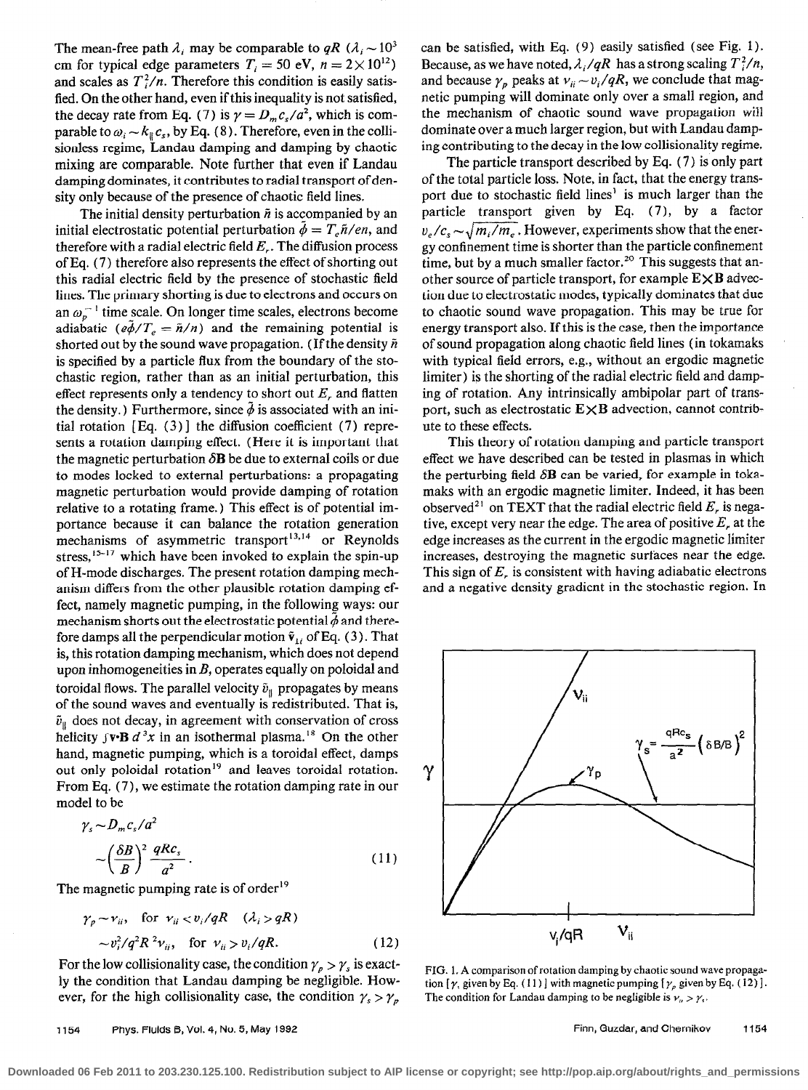The mean-free path  $\lambda_i$  may be comparable to qR ( $\lambda_i \sim 10^3$ ) cm for typical edge parameters  $T_i = 50$  eV,  $n = 2 \times 10^{12}$ ) and scales as  $T_i^2/n$ . Therefore this condition is easily satisfied. On the other hand, even if this inequality is not satisfied, the decay rate from Eq. (7) is  $\gamma = D_m c_s/a^2$ , which is comparable to  $\omega_i \sim k_{\parallel} c_s$ , by Eq. (8). Therefore, even in the collisionless regime, Landau damping and damping by chaotic mixing are comparable. Note further that even if Landau damping dominates, it contributes to radial transport of density only because of the presence of chaotic field lines.

The initial density perturbation  $\tilde{n}$  is accompanied by an initial electrostatic potential perturbation  $\bar{\phi} = T_c \tilde{n}/en$ , and therefore with a radial electric field  $E_r$ . The diffusion process of Eq. (7) therefore also represents the effect of shorting out this radial electric field by the presence of stochastic field lines. The primary shorting is due to electrons and occurs on an  $\omega_{p}^{-1}$  time scale. On longer time scales, electrons become adiabatic ( $e\tilde{\phi}/T_e = \tilde{n}/n$ ) and the remaining potential is shorted out by the sound wave propagation. (If the density  $\tilde{n}$ is specified by a particle flux from the boundary of the stochastic region, rather than as an initial perturbation, this effect represents only a tendency to short out  $E<sub>r</sub>$  and flatten the density.) Furthermore, since  $\phi$  is associated with an initial rotation [Eq.  $(3)$ ] the diffusion coefficient  $(7)$  represents a rotation damping effect. (Here it is important that the magnetic perturbation  $\delta \mathbf{B}$  be due to external coils or due to modes locked to external perturbations: a propagating magnetic perturbation would provide damping of rotation relative to a rotating frame.) This effect is of potential importance because it can balance the rotation generation mechanisms of asymmetric transport $13,14$  or Reynolds stress,<sup>15-17</sup> which have been invoked to explain the spin-up of H-mode discharges. The present rotation damping mechanism differs from the other plausible rotation damping effect, namely magnetic pumping, in the following ways: our mechanism shorts out the electrostatic potential  $\phi$  and therefore damps all the perpendicular motion  $\tilde{v}_{1i}$  of Eq. (3). That is, this rotation damping mechanism, which does not depend upon inhomogeneities in B, operates equally on poloidal and toroidal flows. The parallel velocity  $\tilde{v}_{\parallel}$  propagates by means of the sound waves and eventually is redistributed. That is,  $\tilde{v}_{\parallel}$  does not decay, in agreement with conservation of cross helicity  $\int \mathbf{v} \cdot \mathbf{B} d^3x$  in an isothermal plasma.<sup>18</sup> On the other hand, magnetic pumping, which is a toroidal effect, damps out only poloidal rotation<sup>19</sup> and leaves toroidal rotation. From Eq. (7), we estimate the rotation damping rate in our model to be

$$
\gamma_s \sim D_m c_s / a^2
$$
  
 
$$
\sim \left(\frac{\delta B}{B}\right)^2 \frac{q R c_s}{a^2} \,. \tag{11}
$$

The magnetic pumping rate is of order<sup>19</sup>

$$
\gamma_p \sim \nu_{ii}, \quad \text{for } \nu_{ii} < v_i / qR \quad (\lambda_i > qR) \\
\sim v_i^2 / q^2 R^2 \nu_{ii}, \quad \text{for } \nu_{ii} > v_i / qR. \tag{12}
$$

For the low collisionality case, the condition  $\gamma_p > \gamma_s$  is exactly the condition that Landau damping be negligible. However, for the high collisionality case, the condition  $\gamma_s > \gamma_p$ 

can be satisfied, with Eq. (9) easily satisfied (see Fig. 1). Because, as we have noted,  $\lambda_i/qR$  has a strong scaling  $T_i^2/n$ , and because  $\gamma_p$  peaks at  $v_{ii} \sim v_i/qR$ , we conclude that magnetic pumping will dominate only over a small region, and the mechanism of chaotic sound wave propagation will dominate over a much larger region, but with Landau damping contributing to the decay in the low collisionality regime.

The particle transport described by Eq. ( 7) is only part of the total particle loss. Note, in fact, that the energy transport due to stochastic field lines' is much larger than the particle transport given by Eq. (7), by a factor  $v_e/c_s \sim \sqrt{m_e/m_e}$ . However, experiments show that the energy confinement time is shorter than the particle confinement time, but by a much smaller factor.<sup>20</sup> This suggests that another source of particle transport, for example  $E \times B$  advection due to electrostatic modes, typically dominates that due to chaotic sound wave propagation. This may be true for energy transport also. If this is the case, then the importance of sound propagation along chaotic field lines (in tokamaks with typical field errors, e.g., without an ergodic magnetic limiter) is the shorting of the radial electric field and damping of rotation. Any intrinsically ambipolar part of transport, such as electrostatic  $E \times B$  advection, cannot contribute to these effects.

This theory of rotation damping and particle transport effect we have described can be tested in plasmas in which the perturbing field  $\delta B$  can be varied, for example in tokamaks with an ergodic magnetic limiter. Indeed, it has been observed<sup>21</sup> on TEXT that the radial electric field  $E<sub>r</sub>$  is negative, except very near the edge. The area of positive  $E$ , at the edge increases as the current in the ergodic magnetic limiter increases, destroying the magnetic surfaces near the edge. This sign of  $E<sub>r</sub>$  is consistent with having adiabatic electrons and a negative density gradient in the stochastic region. In



FIG. 1. A comparison of rotation damping by chaotic sound wave propagation  $[\gamma,$  given by Eq. (11) ] with magnetic pumping  $[\gamma_\rho$  given by Eq. (12) ]. The condition for Landau damping to be negligible is  $v_n > \gamma$ .

**Downloaded 06 Feb 2011 to 203.230.125.100. Redistribution subject to AIP license or copyright; see http://pop.aip.org/about/rights\_and\_permissions**